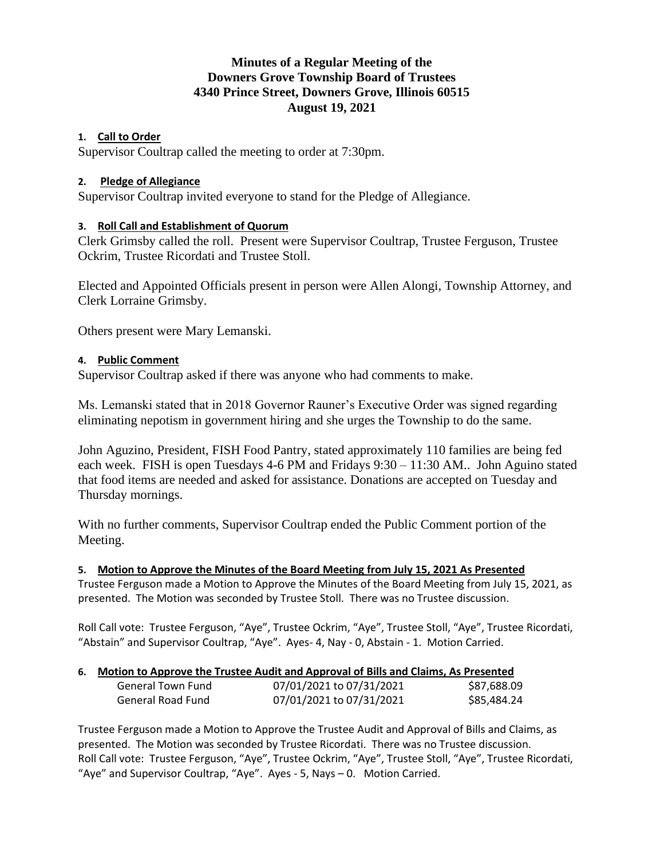# **Minutes of a Regular Meeting of the Downers Grove Township Board of Trustees 4340 Prince Street, Downers Grove, Illinois 60515 August 19, 2021**

### **1. Call to Order**

Supervisor Coultrap called the meeting to order at 7:30pm.

### **2. Pledge of Allegiance**

Supervisor Coultrap invited everyone to stand for the Pledge of Allegiance.

#### **3. Roll Call and Establishment of Quorum**

Clerk Grimsby called the roll. Present were Supervisor Coultrap, Trustee Ferguson, Trustee Ockrim, Trustee Ricordati and Trustee Stoll.

Elected and Appointed Officials present in person were Allen Alongi, Township Attorney, and Clerk Lorraine Grimsby.

Others present were Mary Lemanski.

#### **4. Public Comment**

Supervisor Coultrap asked if there was anyone who had comments to make.

Ms. Lemanski stated that in 2018 Governor Rauner's Executive Order was signed regarding eliminating nepotism in government hiring and she urges the Township to do the same.

John Aguzino, President, FISH Food Pantry, stated approximately 110 families are being fed each week. FISH is open Tuesdays 4-6 PM and Fridays 9:30 – 11:30 AM.. John Aguino stated that food items are needed and asked for assistance. Donations are accepted on Tuesday and Thursday mornings.

With no further comments, Supervisor Coultrap ended the Public Comment portion of the Meeting.

**5. Motion to Approve the Minutes of the Board Meeting from July 15, 2021 As Presented**

Trustee Ferguson made a Motion to Approve the Minutes of the Board Meeting from July 15, 2021, as presented. The Motion was seconded by Trustee Stoll. There was no Trustee discussion.

Roll Call vote: Trustee Ferguson, "Aye", Trustee Ockrim, "Aye", Trustee Stoll, "Aye", Trustee Ricordati, "Abstain" and Supervisor Coultrap, "Aye". Ayes- 4, Nay - 0, Abstain - 1. Motion Carried.

#### **6. Motion to Approve the Trustee Audit and Approval of Bills and Claims, As Presented**

| General Town Fund | 07/01/2021 to 07/31/2021 | \$87,688.09 |
|-------------------|--------------------------|-------------|
| General Road Fund | 07/01/2021 to 07/31/2021 | \$85,484.24 |

Trustee Ferguson made a Motion to Approve the Trustee Audit and Approval of Bills and Claims, as presented. The Motion was seconded by Trustee Ricordati. There was no Trustee discussion. Roll Call vote: Trustee Ferguson, "Aye", Trustee Ockrim, "Aye", Trustee Stoll, "Aye", Trustee Ricordati, "Aye" and Supervisor Coultrap, "Aye". Ayes - 5, Nays – 0. Motion Carried.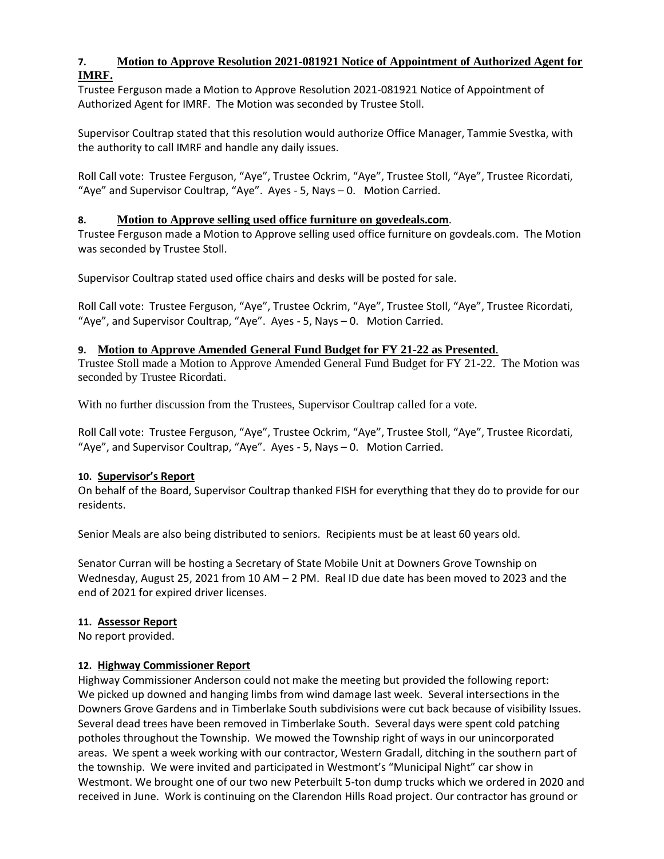# **7. Motion to Approve Resolution 2021-081921 Notice of Appointment of Authorized Agent for IMRF.**

Trustee Ferguson made a Motion to Approve Resolution 2021-081921 Notice of Appointment of Authorized Agent for IMRF. The Motion was seconded by Trustee Stoll.

Supervisor Coultrap stated that this resolution would authorize Office Manager, Tammie Svestka, with the authority to call IMRF and handle any daily issues.

Roll Call vote: Trustee Ferguson, "Aye", Trustee Ockrim, "Aye", Trustee Stoll, "Aye", Trustee Ricordati, "Aye" and Supervisor Coultrap, "Aye". Ayes - 5, Nays – 0. Motion Carried.

### **8. Motion to Approve selling used office furniture on govedeals.com**.

Trustee Ferguson made a Motion to Approve selling used office furniture on govdeals.com. The Motion was seconded by Trustee Stoll.

Supervisor Coultrap stated used office chairs and desks will be posted for sale.

Roll Call vote: Trustee Ferguson, "Aye", Trustee Ockrim, "Aye", Trustee Stoll, "Aye", Trustee Ricordati, "Aye", and Supervisor Coultrap, "Aye". Ayes - 5, Nays – 0. Motion Carried.

#### **9. Motion to Approve Amended General Fund Budget for FY 21-22 as Presented**.

Trustee Stoll made a Motion to Approve Amended General Fund Budget for FY 21-22. The Motion was seconded by Trustee Ricordati.

With no further discussion from the Trustees, Supervisor Coultrap called for a vote.

Roll Call vote: Trustee Ferguson, "Aye", Trustee Ockrim, "Aye", Trustee Stoll, "Aye", Trustee Ricordati, "Aye", and Supervisor Coultrap, "Aye". Ayes - 5, Nays – 0. Motion Carried.

#### **10. Supervisor's Report**

On behalf of the Board, Supervisor Coultrap thanked FISH for everything that they do to provide for our residents.

Senior Meals are also being distributed to seniors. Recipients must be at least 60 years old.

Senator Curran will be hosting a Secretary of State Mobile Unit at Downers Grove Township on Wednesday, August 25, 2021 from 10 AM – 2 PM. Real ID due date has been moved to 2023 and the end of 2021 for expired driver licenses.

#### **11. Assessor Report**

No report provided.

### **12. Highway Commissioner Report**

Highway Commissioner Anderson could not make the meeting but provided the following report: We picked up downed and hanging limbs from wind damage last week. Several intersections in the Downers Grove Gardens and in Timberlake South subdivisions were cut back because of visibility Issues. Several dead trees have been removed in Timberlake South. Several days were spent cold patching potholes throughout the Township. We mowed the Township right of ways in our unincorporated areas. We spent a week working with our contractor, Western Gradall, ditching in the southern part of the township. We were invited and participated in Westmont's "Municipal Night" car show in Westmont. We brought one of our two new Peterbuilt 5-ton dump trucks which we ordered in 2020 and received in June. Work is continuing on the Clarendon Hills Road project. Our contractor has ground or